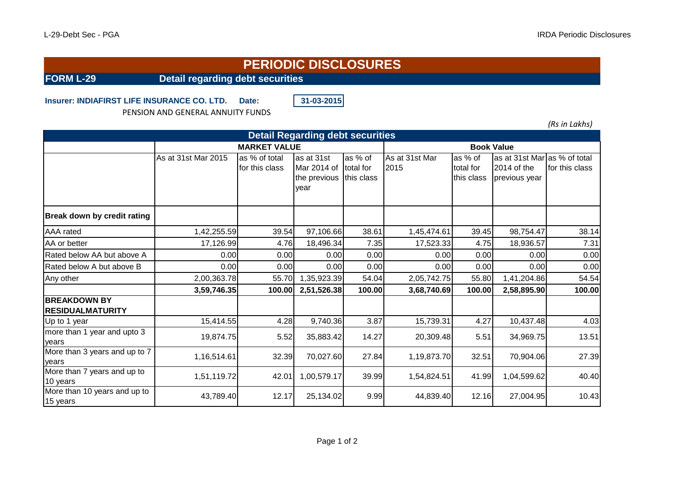## **PERIODIC DISCLOSURES**

**FORM L-29 Detail regarding debt securities**

## **Insurer: INDIAFIRST LIFE INSURANCE CO. LTD. Date: 31-03-2015**

PENSION AND GENERAL ANNUITY FUNDS

*(Rs in Lakhs)*

| <b>Detail Regarding debt securities</b>        |                     |                                 |                                                   |                                    |                        |                                    |                                                              |                |  |  |  |  |
|------------------------------------------------|---------------------|---------------------------------|---------------------------------------------------|------------------------------------|------------------------|------------------------------------|--------------------------------------------------------------|----------------|--|--|--|--|
|                                                | <b>MARKET VALUE</b> | <b>Book Value</b>               |                                                   |                                    |                        |                                    |                                                              |                |  |  |  |  |
|                                                | As at 31st Mar 2015 | as % of total<br>for this class | as at 31st<br>Mar 2014 of<br>the previous<br>year | as % of<br>total for<br>this class | As at 31st Mar<br>2015 | as % of<br>total for<br>this class | as at 31st Mar as % of total<br>2014 of the<br>previous year | for this class |  |  |  |  |
| <b>Break down by credit rating</b>             |                     |                                 |                                                   |                                    |                        |                                    |                                                              |                |  |  |  |  |
| <b>AAA</b> rated                               | 1,42,255.59         | 39.54                           | 97,106.66                                         | 38.61                              | 1,45,474.61            | 39.45                              | 98,754.47                                                    | 38.14          |  |  |  |  |
| AA or better                                   | 17,126.99           | 4.76                            | 18,496.34                                         | 7.35                               | 17,523.33              | 4.75                               | 18,936.57                                                    | 7.31           |  |  |  |  |
| Rated below AA but above A                     | 0.00                | 0.00                            | 0.00                                              | 0.00                               | 0.00                   | 0.00                               | 0.00                                                         | 0.00           |  |  |  |  |
| Rated below A but above B                      | 0.00                | 0.00                            | 0.00                                              | 0.00                               | 0.00                   | 0.00                               | 0.00                                                         | 0.00           |  |  |  |  |
| Any other                                      | 2,00,363.78         | 55.70                           | 1,35,923.39                                       | 54.04                              | 2,05,742.75            | 55.80                              | 1,41,204.86                                                  | 54.54          |  |  |  |  |
|                                                | 3,59,746.35         | 100.00                          | 2,51,526.38                                       | 100.00                             | 3,68,740.69            | 100.00                             | 2,58,895.90                                                  | 100.00         |  |  |  |  |
| <b>BREAKDOWN BY</b><br><b>RESIDUALMATURITY</b> |                     |                                 |                                                   |                                    |                        |                                    |                                                              |                |  |  |  |  |
| Up to 1 year                                   | 15,414.55           | 4.28                            | 9,740.36                                          | 3.87                               | 15,739.31              | 4.27                               | 10,437.48                                                    | 4.03           |  |  |  |  |
| more than 1 year and upto 3<br>years           | 19,874.75           | 5.52                            | 35,883.42                                         | 14.27                              | 20,309.48              | 5.51                               | 34,969.75                                                    | 13.51          |  |  |  |  |
| More than 3 years and up to 7<br>years         | 1,16,514.61         | 32.39                           | 70,027.60                                         | 27.84                              | 1,19,873.70            | 32.51                              | 70,904.06                                                    | 27.39          |  |  |  |  |
| More than 7 years and up to<br>10 years        | 1,51,119.72         | 42.01                           | 1,00,579.17                                       | 39.99                              | 1,54,824.51            | 41.99                              | 1,04,599.62                                                  | 40.40          |  |  |  |  |
| More than 10 years and up to<br>15 years       | 43,789.40           | 12.17                           | 25,134.02                                         | 9.99                               | 44,839.40              | 12.16                              | 27,004.95                                                    | 10.43          |  |  |  |  |